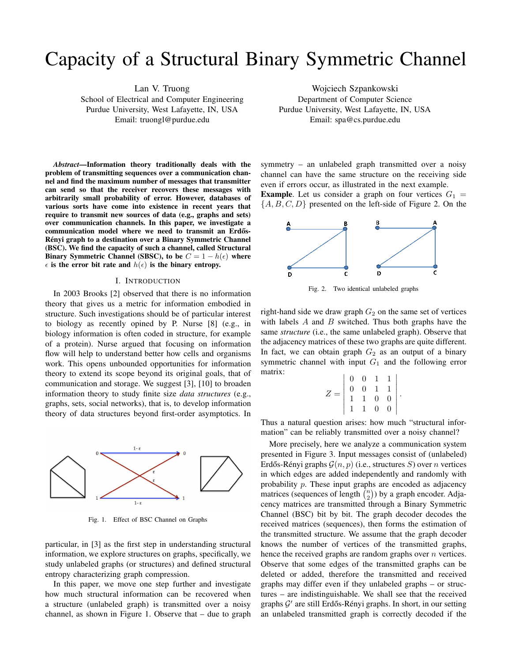# Capacity of a Structural Binary Symmetric Channel

Lan V. Truong

School of Electrical and Computer Engineering Purdue University, West Lafayette, IN, USA Email: truongl@purdue.edu

*Abstract*—Information theory traditionally deals with the problem of transmitting sequences over a communication channel and find the maximum number of messages that transmitter can send so that the receiver recovers these messages with arbitrarily small probability of error. However, databases of various sorts have come into existence in recent years that require to transmit new sources of data (e.g., graphs and sets) over communication channels. In this paper, we investigate a communication model where we need to transmit an Erdős-Rényi graph to a destination over a Binary Symmetric Channel (BSC). We find the capacity of such a channel, called Structural Binary Symmetric Channel (SBSC), to be  $C = 1 - h(\epsilon)$  where  $\epsilon$  is the error bit rate and  $h(\epsilon)$  is the binary entropy.

# I. INTRODUCTION

In 2003 Brooks [2] observed that there is no information theory that gives us a metric for information embodied in structure. Such investigations should be of particular interest to biology as recently opined by P. Nurse [8] (e.g., in biology information is often coded in structure, for example of a protein). Nurse argued that focusing on information flow will help to understand better how cells and organisms work. This opens unbounded opportunities for information theory to extend its scope beyond its original goals, that of communication and storage. We suggest [3], [10] to broaden information theory to study finite size *data structures* (e.g., graphs, sets, social networks), that is, to develop information theory of data structures beyond first-order asymptotics. In



Fig. 1. Effect of BSC Channel on Graphs

particular, in [3] as the first step in understanding structural information, we explore structures on graphs, specifically, we study unlabeled graphs (or structures) and defined structural entropy characterizing graph compression.

In this paper, we move one step further and investigate how much structural information can be recovered when a structure (unlabeled graph) is transmitted over a noisy channel, as shown in Figure 1. Observe that – due to graph

Wojciech Szpankowski Department of Computer Science Purdue University, West Lafayette, IN, USA Email: spa@cs.purdue.edu

symmetry – an unlabeled graph transmitted over a noisy channel can have the same structure on the receiving side even if errors occur, as illustrated in the next example.

**Example.** Let us consider a graph on four vertices  $G_1$  =  $\{A, B, C, D\}$  presented on the left-side of Figure 2. On the



Fig. 2. Two identical unlabeled graphs

right-hand side we draw graph  $G_2$  on the same set of vertices with labels  $A$  and  $B$  switched. Thus both graphs have the same *structure* (i.e., the same unlabeled graph). Observe that the adjacency matrices of these two graphs are quite different. In fact, we can obtain graph  $G_2$  as an output of a binary symmetric channel with input  $G_1$  and the following error matrix:

| $Z =$ |  |                                                                                                          |  |
|-------|--|----------------------------------------------------------------------------------------------------------|--|
|       |  |                                                                                                          |  |
|       |  |                                                                                                          |  |
|       |  | $\begin{array}{ccc ccc}\n0 & 0 & 1 & 1 \\ 0 & 0 & 1 & 1 \\ 1 & 1 & 0 & 0 \\ 1 & 1 & 0 & 0\n\end{array}.$ |  |
|       |  |                                                                                                          |  |

Thus a natural question arises: how much "structural information" can be reliably transmitted over a noisy channel?

More precisely, here we analyze a communication system presented in Figure 3. Input messages consist of (unlabeled) Erdős-Rényi graphs  $\mathcal{G}(n, p)$  (i.e., structures S) over n vertices in which edges are added independently and randomly with probability p. These input graphs are encoded as adjacency matrices (sequences of length  $\binom{n}{2}$  $\binom{n}{2}$ ) by a graph encoder. Adjacency matrices are transmitted through a Binary Symmetric Channel (BSC) bit by bit. The graph decoder decodes the received matrices (sequences), then forms the estimation of the transmitted structure. We assume that the graph decoder knows the number of vertices of the transmitted graphs, hence the received graphs are random graphs over *n* vertices. Observe that some edges of the transmitted graphs can be deleted or added, therefore the transmitted and received graphs may differ even if they unlabeled graphs – or structures – are indistinguishable. We shall see that the received graphs G' are still Erdős-Rényi graphs. In short, in our setting an unlabeled transmitted graph is correctly decoded if the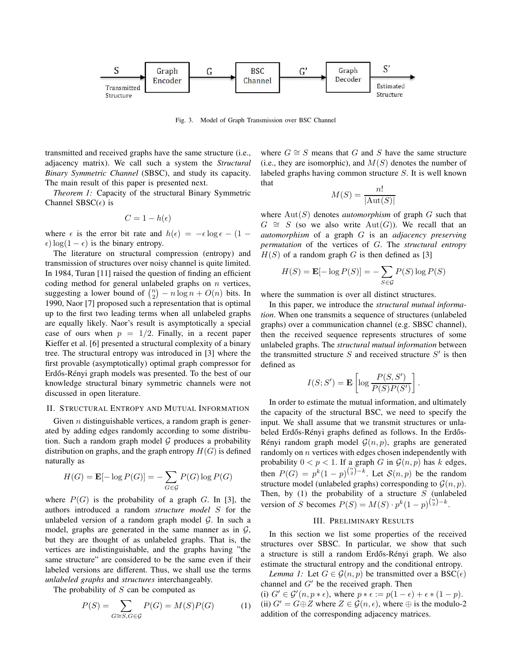

Fig. 3. Model of Graph Transmission over BSC Channel

transmitted and received graphs have the same structure (i.e., adjacency matrix). We call such a system the *Structural Binary Symmetric Channel* (SBSC), and study its capacity. The main result of this paper is presented next.

*Theorem 1:* Capacity of the structural Binary Symmetric Channel SBSC( $\epsilon$ ) is

$$
C = 1 - h(\epsilon)
$$

where  $\epsilon$  is the error bit rate and  $h(\epsilon) = -\epsilon \log \epsilon - (1 - \epsilon \log \epsilon)$  $\epsilon$ ) log(1 –  $\epsilon$ ) is the binary entropy.

The literature on structural compression (entropy) and transmission of structures over noisy channel is quite limited. In 1984, Turan [11] raised the question of finding an efficient coding method for general unlabeled graphs on  $n$  vertices, suggesting a lower bound of  $\binom{n}{2} - n \log n + O(n)$  bits. In 1990, Naor [7] proposed such a representation that is optimal up to the first two leading terms when all unlabeled graphs are equally likely. Naor's result is asymptotically a special case of ours when  $p = 1/2$ . Finally, in a recent paper Kieffer et al. [6] presented a structural complexity of a binary tree. The structural entropy was introduced in [3] where the first provable (asymptotically) optimal graph compressor for Erdős-Rényi graph models was presented. To the best of our knowledge structural binary symmetric channels were not discussed in open literature.

## II. STRUCTURAL ENTROPY AND MUTUAL INFORMATION

Given  $n$  distinguishable vertices, a random graph is generated by adding edges randomly according to some distribution. Such a random graph model  $G$  produces a probability distribution on graphs, and the graph entropy  $H(G)$  is defined naturally as

$$
H(G) = \mathbf{E}[-\log P(G)] = -\sum_{G \in \mathcal{G}} P(G) \log P(G)
$$

where  $P(G)$  is the probability of a graph G. In [3], the authors introduced a random *structure model* S for the unlabeled version of a random graph model  $G$ . In such a model, graphs are generated in the same manner as in  $G$ , but they are thought of as unlabeled graphs. That is, the vertices are indistinguishable, and the graphs having "the same structure" are considered to be the same even if their labeled versions are different. Thus, we shall use the terms *unlabeled graphs* and *structures* interchangeably.

The probability of  $S$  can be computed as

$$
P(S) = \sum_{G \cong S, G \in \mathcal{G}} P(G) = M(S)P(G) \tag{1}
$$

where  $G \cong S$  means that G and S have the same structure (i.e., they are isomorphic), and  $M(S)$  denotes the number of labeled graphs having common structure S. It is well known that

$$
M(S) = \frac{n!}{|\text{Aut}(S)|}
$$

where  $Aut(S)$  denotes *automorphism* of graph  $G$  such that  $G \cong S$  (so we also write Aut(G)). We recall that an *automorphism* of a graph G is an *adjacency preserving permutation* of the vertices of G. The *structural entropy*  $H(S)$  of a random graph G is then defined as [3]

$$
H(S) = \mathbf{E}[-\log P(S)] = -\sum_{S \in \mathcal{G}} P(S) \log P(S)
$$

where the summation is over all distinct structures.

In this paper, we introduce the *structural mutual information*. When one transmits a sequence of structures (unlabeled graphs) over a communication channel (e.g. SBSC channel), then the received sequence represents structures of some unlabeled graphs. The *structural mutual information* between the transmitted structure  $S$  and received structure  $S'$  is then defined as

$$
I(S; S') = \mathbf{E}\left[\log \frac{P(S, S')}{P(S)P(S')}\right].
$$

In order to estimate the mutual information, and ultimately the capacity of the structural BSC, we need to specify the input. We shall assume that we transmit structures or unlabeled Erdős-Rényi graphs defined as follows. In the Erdős-Rényi random graph model  $\mathcal{G}(n, p)$ , graphs are generated randomly on *n* vertices with edges chosen independently with probability  $0 < p < 1$ . If a graph G in  $\mathcal{G}(n, p)$  has k edges, then  $P(G) = p^{k}(1-p)^{{n \choose 2} - k}$ . Let  $S(n, p)$  be the random structure model (unlabeled graphs) corresponding to  $\mathcal{G}(n, p)$ . Then, by  $(1)$  the probability of a structure S (unlabeled version of S becomes  $P(S) = M(S) \cdot p^{k} (1-p)^{{k \choose 2} - k}$ .

# III. PRELIMINARY RESULTS

In this section we list some properties of the received structures over SBSC. In particular, we show that such a structure is still a random Erdős-Rényi graph. We also estimate the structural entropy and the conditional entropy.

*Lemma 1:* Let  $G \in \mathcal{G}(n, p)$  be transmitted over a BSC( $\epsilon$ ) channel and  $G'$  be the received graph. Then

(i)  $G' \in \mathcal{G}'(n, p * \epsilon)$ , where  $p * \epsilon := p(1 - \epsilon) + \epsilon * (1 - p)$ . (ii)  $G' = G \oplus Z$  where  $Z \in \mathcal{G}(n, \epsilon)$ , where  $\oplus$  is the modulo-2 addition of the corresponding adjacency matrices.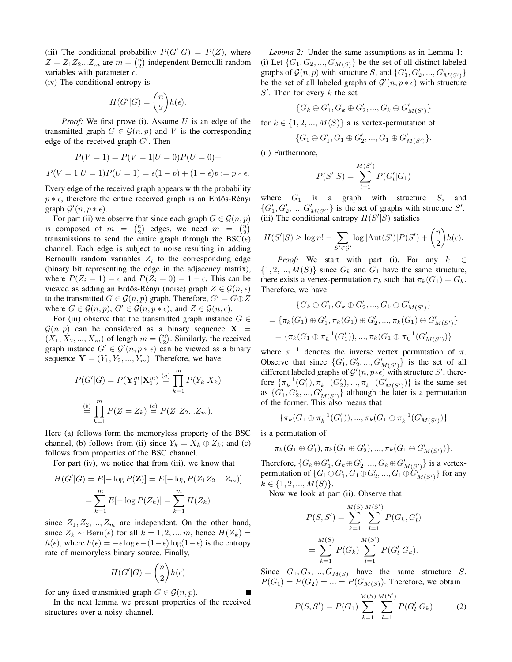(iii) The conditional probability  $P(G'|G) = P(Z)$ , where  $Z = Z_1 Z_2 ... Z_m$  are  $m = \binom{n}{2}$  independent Bernoulli random variables with parameter  $\epsilon$ .

(iv) The conditional entropy is

$$
H(G'|G) = \binom{n}{2} h(\epsilon).
$$

*Proof:* We first prove (i). Assume U is an edge of the transmitted graph  $G \in \mathcal{G}(n, p)$  and V is the corresponding edge of the received graph  $G'$ . Then

$$
P(V = 1) = P(V = 1|U = 0)P(U = 0) + P(V = 1|U = 1)P(U = 1) = \epsilon(1 - p) + (1 - \epsilon)p := p * \epsilon.
$$

Every edge of the received graph appears with the probability  $p * \epsilon$ , therefore the entire received graph is an Erdős-Rényi graph  $\mathcal{G}'(n, p * \epsilon)$ .

For part (ii) we observe that since each graph  $G \in \mathcal{G}(n, p)$ is composed of  $m = \binom{n}{2}$  edges, we need  $m = \binom{n}{2}$ transmissions to send the entire graph through the BSC( $\epsilon$ ) channel. Each edge is subject to noise resulting in adding Bernoulli random variables  $Z_i$  to the corresponding edge (binary bit representing the edge in the adjacency matrix), where  $P(Z_i = 1) = \epsilon$  and  $P(Z_i = 0) = 1 - \epsilon$ . This can be viewed as adding an Erdős-Rényi (noise) graph  $Z \in \mathcal{G}(n, \epsilon)$ to the transmitted  $G \in \mathcal{G}(n, p)$  graph. Therefore,  $G' = G \oplus Z$ where  $G \in \mathcal{G}(n, p)$ ,  $G' \in \mathcal{G}(n, p * \epsilon)$ , and  $Z \in \mathcal{G}(n, \epsilon)$ .

For (iii) observe that the transmitted graph instance  $G \in$  $\mathcal{G}(n, p)$  can be considered as a binary sequence  $X =$  $(X_1, X_2, ..., X_m)$  of length  $m = \binom{n}{2}$ . Similarly, the received graph instance  $G' \in \mathcal{G}'(n, p * \epsilon)$  can be viewed as a binary sequence  $\mathbf{Y} = (Y_1, Y_2, ..., Y_m)$ . Therefore, we have:

$$
P(G'|G) = P(\mathbf{Y}_1^m | \mathbf{X}_1^m) \stackrel{(a)}{=} \prod_{k=1}^m P(Y_k | X_k)
$$

$$
\stackrel{(b)}{=} \prod_{k=1}^m P(Z = Z_k) \stackrel{(c)}{=} P(Z_1 Z_2 ... Z_m).
$$

Here (a) follows form the memoryless property of the BSC channel, (b) follows from (ii) since  $Y_k = X_k \oplus Z_k$ ; and (c) follows from properties of the BSC channel.

For part (iv), we notice that from (iii), we know that

$$
H(G'|G) = E[-\log P(\mathbf{Z})] = E[-\log P(Z_1 Z_2....Z_m)]
$$
  
= 
$$
\sum_{k=1}^{m} E[-\log P(Z_k)] = \sum_{k=1}^{m} H(Z_k)
$$

since  $Z_1, Z_2, ..., Z_m$  are independent. On the other hand, since  $Z_k \sim \text{Bern}(\epsilon)$  for all  $k = 1, 2, ..., m$ , hence  $H(Z_k) =$  $h(\epsilon)$ , where  $h(\epsilon) = -\epsilon \log \epsilon - (1 - \epsilon) \log(1 - \epsilon)$  is the entropy rate of memoryless binary source. Finally,

$$
H(G'|G) = \binom{n}{2}h(\epsilon)
$$

for any fixed transmitted graph  $G \in \mathcal{G}(n, p)$ .

In the next lemma we present properties of the received structures over a noisy channel.

*Lemma 2:* Under the same assumptions as in Lemma 1: (i) Let  $\{G_1, G_2, ..., G_{M(S)}\}$  be the set of all distinct labeled graphs of  $\mathcal{G}(n, p)$  with structure S, and  $\{G'_1, G'_2, ..., G'_{M(S')}\}$ be the set of all labeled graphs of  $\mathcal{G}'(n, p * \epsilon)$  with structure  $S'$ . Then for every  $k$  the set

$$
\{G_k \oplus G_1', G_k \oplus G_2', ..., G_k \oplus G_{M(S')}'\}
$$

for  $k \in \{1, 2, ..., M(S)\}\$ a is vertex-permutation of

$$
\{G_1\oplus G_1', G_1\oplus G_2',...,G_1\oplus G_{M(S')}'\}.
$$

(ii) Furthermore,

$$
P(S'|S) = \sum_{l=1}^{M(S')} P(G'_l|G_1)
$$

where  $G_1$  is a graph with structure S, and  ${G'_1, G'_2, ..., G'_{M(S')}}$  is the set of graphs with structure S'. (iii) The conditional entropy  $H(S'|S)$  satisfies

$$
H(S'|S) \ge \log n! - \sum_{S' \in \mathcal{G}'} \log |\text{Aut}(S')| P(S') + {n \choose 2} h(\epsilon).
$$

*Proof:* We start with part (i). For any  $k \in \mathbb{R}$  $\{1, 2, ..., M(S)\}\$  since  $G_k$  and  $G_1$  have the same structure, there exists a vertex-permutation  $\pi_k$  such that  $\pi_k(G_1) = G_k$ . Therefore, we have

$$
\{G_k \oplus G'_1, G_k \oplus G'_2, ..., G_k \oplus G'_{M(S')}\}
$$
  
=  $\{\pi_k(G_1) \oplus G'_1, \pi_k(G_1) \oplus G'_2, ..., \pi_k(G_1) \oplus G'_{M(S')}\}$   
=  $\{\pi_k(G_1 \oplus \pi_k^{-1}(G'_1)), ..., \pi_k(G_1 \oplus \pi_k^{-1}(G'_{M(S')})\}$ 

where  $\pi^{-1}$  denotes the inverse vertex permutation of  $\pi$ . Observe that since  ${G'_1, G'_2, ..., G'_{M(S')}}$  is the set of all different labeled graphs of  $\mathcal{G}'(n, p * \epsilon)$  with structure  $S'$ , therefore  $\{\pi_k^{-1}(G'_1), \pi_k^{-1}(G'_2), ..., \pi_k^{-1}(G'_{M(S')})\}$  is the same set as  $\{G'_1, G'_2, ..., G'_{M(S')}\}\$ although the later is a permutation of the former. This also means that

$$
\{\pi_k(G_1 \oplus \pi_k^{-1}(G'_1)), ..., \pi_k(G_1 \oplus \pi_k^{-1}(G'_{M(S')})\}
$$

is a permutation of

$$
\pi_k(G_1 \oplus G'_1), \pi_k(G_1 \oplus G'_2), ..., \pi_k(G_1 \oplus G'_{M(S')})\}.
$$

Therefore,  $\{G_k \oplus G'_1, G_k \oplus G'_2, ..., G_k \oplus G'_{M(S')} \}$  is a vertexpermutation of  $\{G_1 \oplus G'_1, G_1 \oplus G'_2, ..., G_1 \oplus \widetilde{G}'_{M(S')} \}$  for any  $k \in \{1, 2, ..., M(S)\}.$ 

Now we look at part (ii). Observe that

$$
P(S, S') = \sum_{k=1}^{M(S)} \sum_{l=1}^{M(S')} P(G_k, G'_l)
$$
  
= 
$$
\sum_{k=1}^{M(S)} P(G_k) \sum_{l=1}^{M(S')} P(G'_l|G_k).
$$

Since  $G_1, G_2, ..., G_{M(S)}$  have the same structure S,  $P(G_1) = P(G_2) = ... = P(G_{M(S)})$ . Therefore, we obtain

$$
P(S, S') = P(G_1) \sum_{k=1}^{M(S)} \sum_{l=1}^{M(S')} P(G'_l|G_k)
$$
 (2)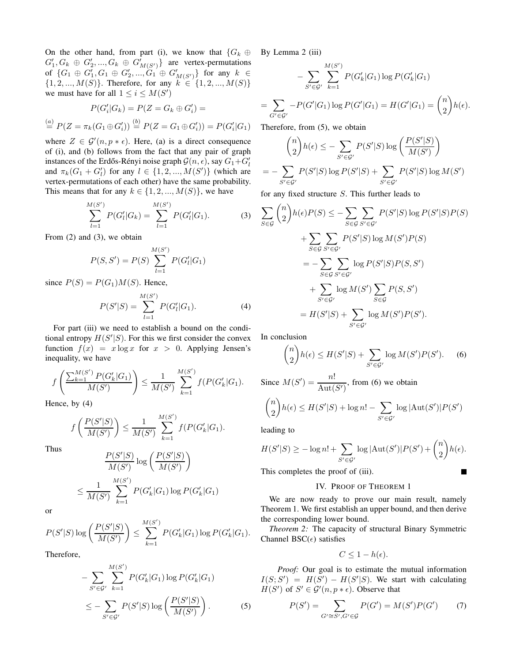On the other hand, from part (i), we know that  ${G_k \oplus G}$  $G'_1, G_k \oplus G'_2, ..., G_k \oplus G'_{M(S')}$  are vertex-permutations  $\mathrm{of} \ \{G_1 \oplus G_1', G_1 \oplus G_2',..., \overset{\sim}{G_1} \oplus G_{M(S')}'\} \ \mathrm{for \ any} \ \ k \ \in$  $\{1, 2, ..., M(S)\}\$ . Therefore, for any  $k \in \{1, 2, ..., M(S)\}\$ we must have for all  $1 \leq i \leq M(S')$ 

$$
P(G'_{i}|G_{k}) = P(Z = G_{k} \oplus G'_{i}) =
$$
  
\n
$$
\stackrel{(a)}{=} P(Z = \pi_{k}(G_{1} \oplus G'_{i})) \stackrel{(b)}{=} P(Z = G_{1} \oplus G'_{i})) = P(G'_{i}|G_{1})
$$

where  $Z \in \mathcal{G}'(n, p * \epsilon)$ . Here, (a) is a direct consequence of (i), and (b) follows from the fact that any pair of graph instances of the Erdős-Rényi noise graph  $\mathcal{G}(n, \epsilon)$ , say  $G_1+G'_l$ and  $\pi_k(G_1 + G'_l)$  for any  $l \in \{1, 2, ..., M(S')\}$  (which are vertex-permutations of each other) have the same probability. This means that for any  $k \in \{1, 2, ..., M(S)\}\)$ , we have

$$
\sum_{l=1}^{M(S')} P(G'_l|G_k) = \sum_{l=1}^{M(S')} P(G'_l|G_1).
$$
 (3)

From (2) and (3), we obtain

$$
P(S, S') = P(S) \sum_{l=1}^{M(S')} P(G'_l|G_1)
$$

since  $P(S) = P(G_1)M(S)$ . Hence,

$$
P(S'|S) = \sum_{l=1}^{M(S')} P(G'_l|G_1).
$$
 (4)

For part (iii) we need to establish a bound on the conditional entropy  $H(S'|S)$ . For this we first consider the convex function  $f(x) = x \log x$  for  $x > 0$ . Applying Jensen's inequality, we have

$$
f\left(\frac{\sum_{k=1}^{M(S')}P(G'_{k}|G_1)}{M(S')}\right) \leq \frac{1}{M(S')}\sum_{k=1}^{M(S')}f(P(G'_{k}|G_1).
$$

Hence, by (4)

$$
f\left(\frac{P(S'|S)}{M(S')}\right) \le \frac{1}{M(S')}\sum_{k=1}^{M(S')}f(P(G'_{k}|G_{1}).
$$

Thus

$$
\frac{P(S'|S)}{M(S')} \log \left( \frac{P(S'|S)}{M(S')} \right)
$$
  

$$
\leq \frac{1}{M(S')} \sum_{k=1}^{M(S')} P(G'_k|G_1) \log P(G'_k|G_1)
$$

or

$$
P(S'|S) \log \left( \frac{P(S'|S)}{M(S')} \right) \le \sum_{k=1}^{M(S')} P(G'_{k}|G_1) \log P(G'_{k}|G_1).
$$

Therefore,

$$
- \sum_{S' \in \mathcal{G}'} \sum_{k=1}^{M(S')} P(G'_k|G_1) \log P(G'_k|G_1)
$$
  

$$
\leq - \sum_{S' \in \mathcal{G}'} P(S'|S) \log \left( \frac{P(S'|S)}{M(S')} \right).
$$
 (5)

By Lemma 2 (iii)

=

$$
- \sum_{S' \in \mathcal{G}'} \sum_{k=1}^{M(S')} P(G'_k|G_1) \log P(G'_k|G_1)
$$
  

$$
\sum_{G' \in \mathcal{G}'} -P(G'|G_1) \log P(G'|G_1) = H(G'|G_1) = {n \choose 2} h(\epsilon).
$$

Therefore, from (5), we obtain

$$
{\binom{n}{2}h(\epsilon) \leq -\sum_{S' \in \mathcal{G}'} P(S'|S) \log \left(\frac{P(S'|S)}{M(S')}\right)}
$$
  
= 
$$
-\sum_{S' \in \mathcal{G}'} P(S'|S) \log P(S'|S) + \sum_{S' \in \mathcal{G}'} P(S'|S) \log M(S')
$$

for any fixed structure S. This further leads to

$$
\sum_{S \in \mathcal{G}} {n \choose 2} h(\epsilon) P(S) \le - \sum_{S \in \mathcal{G}} \sum_{S' \in \mathcal{G}'} P(S'|S) \log P(S'|S) P(S)
$$
  
+ 
$$
\sum_{S \in \mathcal{G}} \sum_{S' \in \mathcal{G}'} P(S'|S) \log M(S') P(S)
$$
  
= 
$$
- \sum_{S \in \mathcal{G}} \sum_{S' \in \mathcal{G}'} \log P(S'|S) P(S, S')
$$
  
+ 
$$
\sum_{S' \in \mathcal{G}'} \log M(S') \sum_{S \in \mathcal{G}} P(S, S')
$$
  
= 
$$
H(S'|S) + \sum_{S' \in \mathcal{G}'} \log M(S') P(S').
$$

In conclusion

$$
\binom{n}{2}h(\epsilon) \le H(S'|S) + \sum_{S' \in \mathcal{G}'} \log M(S')P(S'). \tag{6}
$$

Since  $M(S') = \frac{n!}{\text{Aut}(S')}$ , from (6) we obtain  $\sqrt{n}$ 2  $h(\epsilon) \leq H(S'|S) + \log n! - \sum$  $S' \in \mathcal{G}'$  $\log | \text{Aut}(S')| P(S')$ 

leading to

$$
H(S'|S) \ge -\log n! + \sum_{S' \in \mathcal{G}'} \log |\text{Aut}(S')| P(S') + {n \choose 2} h(\epsilon).
$$

This completes the proof of (iii).

## IV. PROOF OF THEOREM 1

П

We are now ready to prove our main result, namely Theorem 1. We first establish an upper bound, and then derive the corresponding lower bound.

*Theorem 2:* The capacity of structural Binary Symmetric Channel BSC $(\epsilon)$  satisfies

$$
C\leq 1-h(\epsilon).
$$

*Proof:* Our goal is to estimate the mutual information  $I(S; S') = H(S') - H(S'|S)$ . We start with calculating  $H(S')$  of  $S' \in \mathcal{G}'(n, p * \epsilon)$ . Observe that

$$
P(S') = \sum_{G' \cong S', G' \in \mathcal{G}} P(G') = M(S')P(G') \tag{7}
$$